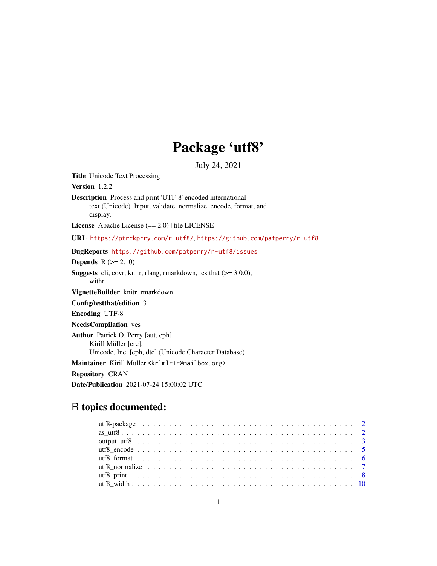# Package 'utf8'

July 24, 2021

<span id="page-0-0"></span>Title Unicode Text Processing

Version 1.2.2

Description Process and print 'UTF-8' encoded international text (Unicode). Input, validate, normalize, encode, format, and display.

License Apache License (== 2.0) | file LICENSE

URL <https://ptrckprry.com/r-utf8/>, <https://github.com/patperry/r-utf8>

BugReports <https://github.com/patperry/r-utf8/issues>

Depends  $R$  ( $>= 2.10$ )

**Suggests** cli, covr, knitr, rlang, rmarkdown, test that  $(>= 3.0.0)$ , withr

VignetteBuilder knitr, rmarkdown

Config/testthat/edition 3

Encoding UTF-8

NeedsCompilation yes

Author Patrick O. Perry [aut, cph], Kirill Müller [cre], Unicode, Inc. [cph, dtc] (Unicode Character Database) Maintainer Kirill Müller <krlmlr+r@mailbox.org> Repository CRAN

Date/Publication 2021-07-24 15:00:02 UTC

# R topics documented: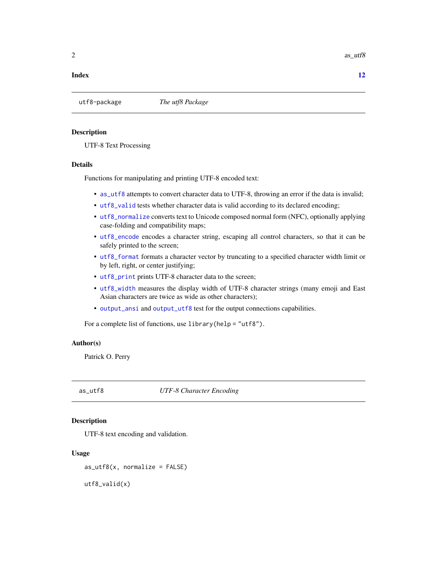<span id="page-1-0"></span>2 as  $\mu$  as  $\mu$  as  $\mu$  as  $\mu$  as  $\mu$  as  $\mu$  as  $\mu$  as  $\mu$  as  $\mu$  as  $\mu$  as  $\mu$  as  $\mu$  as  $\mu$  as  $\mu$  as  $\mu$  as  $\mu$  as  $\mu$  as  $\mu$  as  $\mu$  as  $\mu$  as  $\mu$  as  $\mu$  as  $\mu$  as  $\mu$  as  $\mu$  as  $\mu$  as  $\mu$  as

#### **Index** [12](#page-11-0)

utf8-package *The utf8 Package*

#### **Description**

UTF-8 Text Processing

### Details

Functions for manipulating and printing UTF-8 encoded text:

- [as\\_utf8](#page-1-1) attempts to convert character data to UTF-8, throwing an error if the data is invalid;
- [utf8\\_valid](#page-1-2) tests whether character data is valid according to its declared encoding;
- [utf8\\_normalize](#page-6-1) converts text to Unicode composed normal form (NFC), optionally applying case-folding and compatibility maps;
- [utf8\\_encode](#page-4-1) encodes a character string, escaping all control characters, so that it can be safely printed to the screen;
- [utf8\\_format](#page-5-1) formats a character vector by truncating to a specified character width limit or by left, right, or center justifying;
- [utf8\\_print](#page-7-1) prints UTF-8 character data to the screen;
- [utf8\\_width](#page-9-1) measures the display width of UTF-8 character strings (many emoji and East Asian characters are twice as wide as other characters);
- [output\\_ansi](#page-2-1) and [output\\_utf8](#page-2-2) test for the output connections capabilities.

For a complete list of functions, use library(help = "utf8").

#### Author(s)

Patrick O. Perry

<span id="page-1-1"></span>as\_utf8 *UTF-8 Character Encoding*

# <span id="page-1-2"></span>Description

UTF-8 text encoding and validation.

#### Usage

 $as\_utf8(x, normalize = FALSE)$ 

utf8\_valid(x)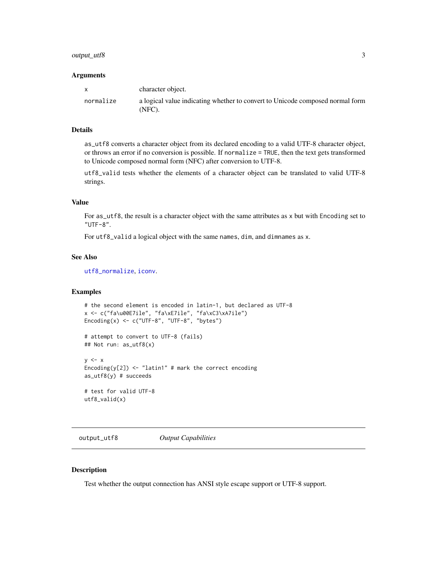# <span id="page-2-0"></span>output\_utf8 3

#### **Arguments**

|           | character object.                                                                          |
|-----------|--------------------------------------------------------------------------------------------|
| normalize | a logical value indicating whether to convert to Unicode composed normal form<br>$(NFC)$ . |

#### Details

as\_utf8 converts a character object from its declared encoding to a valid UTF-8 character object, or throws an error if no conversion is possible. If normalize = TRUE, then the text gets transformed to Unicode composed normal form (NFC) after conversion to UTF-8.

utf8\_valid tests whether the elements of a character object can be translated to valid UTF-8 strings.

# Value

For as\_utf8, the result is a character object with the same attributes as x but with Encoding set to "UTF-8".

For utf8\_valid a logical object with the same names, dim, and dimnames as x.

#### See Also

[utf8\\_normalize](#page-6-1), [iconv](#page-0-0).

#### Examples

```
# the second element is encoded in latin-1, but declared as UTF-8
x <- c("fa\u00E7ile", "fa\xE7ile", "fa\xC3\xA7ile")
Encoding(x) <- c("UTF-8", "UTF-8", "bytes")
```

```
# attempt to convert to UTF-8 (fails)
## Not run: as_utf8(x)
```

```
y \leq -xEncoding(y[2]) \leq "latin1" # mark the correct encoding
as_utf8(y) # succeeds
```
# test for valid UTF-8 utf8\_valid(x)

<span id="page-2-2"></span>output\_utf8 *Output Capabilities*

#### <span id="page-2-1"></span>Description

Test whether the output connection has ANSI style escape support or UTF-8 support.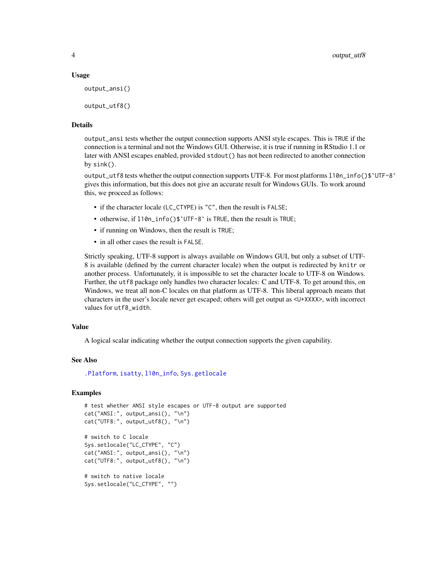#### <span id="page-3-0"></span>Usage

```
output_ansi()
```
output\_utf8()

# Details

output\_ansi tests whether the output connection supports ANSI style escapes. This is TRUE if the connection is a terminal and not the Windows GUI. Otherwise, it is true if running in RStudio 1.1 or later with ANSI escapes enabled, provided stdout() has not been redirected to another connection by sink().

output\_utf8 tests whether the output connection supports UTF-8. For most platforms l10n\_info()\$`UTF-8` gives this information, but this does not give an accurate result for Windows GUIs. To work around this, we proceed as follows:

- if the character locale (LC\_CTYPE) is "C", then the result is FALSE;
- otherwise, if l10n\_info()\$`UTF-8` is TRUE, then the result is TRUE;
- if running on Windows, then the result is TRUE;
- in all other cases the result is FALSE.

Strictly speaking, UTF-8 support is always available on Windows GUI, but only a subset of UTF-8 is available (defined by the current character locale) when the output is redirected by knitr or another process. Unfortunately, it is impossible to set the character locale to UTF-8 on Windows. Further, the utf8 package only handles two character locales: C and UTF-8. To get around this, on Windows, we treat all non-C locales on that platform as UTF-8. This liberal approach means that characters in the user's locale never get escaped; others will get output as <U+XXXX>, with incorrect values for utf8\_width.

#### Value

A logical scalar indicating whether the output connection supports the given capability.

#### See Also

[.Platform](#page-0-0), [isatty](#page-0-0), [l10n\\_info](#page-0-0), [Sys.getlocale](#page-0-0)

# Examples

```
# test whether ANSI style escapes or UTF-8 output are supported
cat("ANSI:", output_ansi(), "\n")
cat("UTF8:", output_utf8(), "\n")
# switch to C locale
Sys.setlocale("LC_CTYPE", "C")
cat("ANSI:", output_ansi(), "\n")
cat("UTF8:", output_utf8(), "\n")
# switch to native locale
Sys.setlocale("LC_CTYPE", "")
```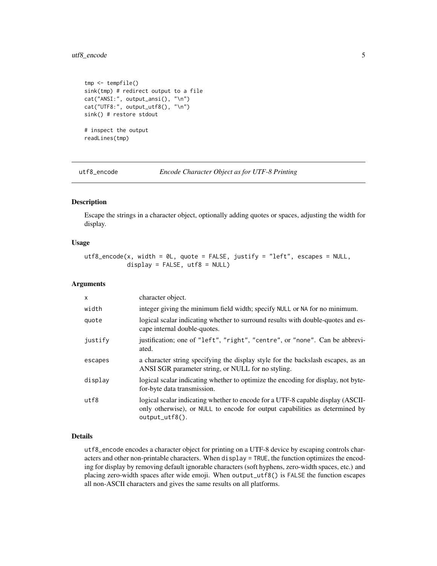# <span id="page-4-0"></span>utf8\_encode 5

```
tmp <- tempfile()
sink(tmp) # redirect output to a file
cat("ANSI:", output_ansi(), "\n")
cat("UTF8:", output_utf8(), "\n")
sink() # restore stdout
# inspect the output
readLines(tmp)
```
<span id="page-4-1"></span>utf8\_encode *Encode Character Object as for UTF-8 Printing*

#### Description

Escape the strings in a character object, optionally adding quotes or spaces, adjusting the width for display.

#### Usage

utf8\_encode(x, width = 0L, quote = FALSE, justify = "left", escapes = NULL,  $display$  = FALSE, utf8 = NULL)

# Arguments

| $\mathsf{x}$ | character object.                                                                                                                                                                    |
|--------------|--------------------------------------------------------------------------------------------------------------------------------------------------------------------------------------|
| width        | integer giving the minimum field width; specify NULL or NA for no minimum.                                                                                                           |
| quote        | logical scalar indicating whether to surround results with double-quotes and es-<br>cape internal double-quotes.                                                                     |
| justify      | justification; one of "left", "right", "centre", or "none". Can be abbrevi-<br>ated.                                                                                                 |
| escapes      | a character string specifying the display style for the backslash escapes, as an<br>ANSI SGR parameter string, or NULL for no styling.                                               |
| display      | logical scalar indicating whether to optimize the encoding for display, not byte-<br>for-byte data transmission.                                                                     |
| utf8         | logical scalar indicating whether to encode for a UTF-8 capable display (ASCII-<br>only otherwise), or NULL to encode for output capabilities as determined by<br>$output\_utf8()$ . |

# Details

utf8\_encode encodes a character object for printing on a UTF-8 device by escaping controls characters and other non-printable characters. When display = TRUE, the function optimizes the encoding for display by removing default ignorable characters (soft hyphens, zero-width spaces, etc.) and placing zero-width spaces after wide emoji. When output\_utf8() is FALSE the function escapes all non-ASCII characters and gives the same results on all platforms.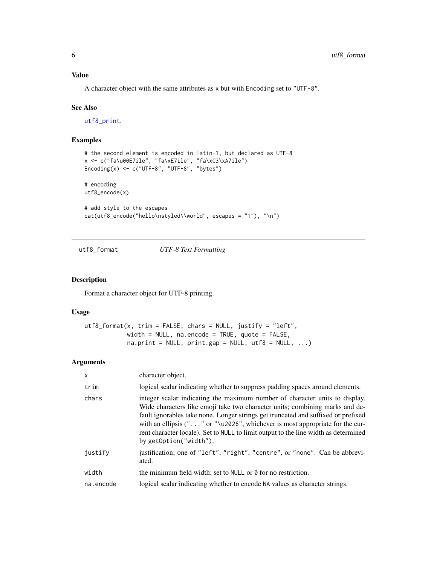#### <span id="page-5-0"></span>Value

A character object with the same attributes as x but with Encoding set to "UTF-8".

#### See Also

[utf8\\_print](#page-7-1).

# Examples

```
# the second element is encoded in latin-1, but declared as UTF-8
x <- c("fa\u00E7ile", "fa\xE7ile", "fa\xC3\xA7ile")
Encoding(x) <- c("UTF-8", "UTF-8", "bytes")
# encoding
utf8_encode(x)
# add style to the escapes
cat(utf8_encode("hello\nstyled\\world", escapes = "1"), "\n")
```
<span id="page-5-1"></span>utf8\_format *UTF-8 Text Formatting*

#### Description

Format a character object for UTF-8 printing.

#### Usage

```
utf8_format(x, trim = FALSE, chars = NULL, justify = "left",width = NULL, na.encode = TRUE, quote = FALSE,
           na.print = NULL, print-gap = NULL, utf8 = NULL, ...)
```
# Arguments

| $\mathsf{x}$ | character object.                                                                                                                                                                                                                                                                                                                                                                                                                                              |
|--------------|----------------------------------------------------------------------------------------------------------------------------------------------------------------------------------------------------------------------------------------------------------------------------------------------------------------------------------------------------------------------------------------------------------------------------------------------------------------|
| trim         | logical scalar indicating whether to suppress padding spaces around elements.                                                                                                                                                                                                                                                                                                                                                                                  |
| chars        | integer scalar indicating the maximum number of character units to display.<br>Wide characters like emoji take two character units; combining marks and de-<br>fault ignorables take none. Longer strings get truncated and suffixed or prefixed<br>with an ellipsis ( $" \dots"$ or $" \u2026"$ , whichever is most appropriate for the cur-<br>rent character locale). Set to NULL to limit output to the line width as determined<br>by getOption("width"). |
| justify      | justification; one of "left", "right", "centre", or "none". Can be abbrevi-<br>ated.                                                                                                                                                                                                                                                                                                                                                                           |
| width        | the minimum field width; set to NULL or 0 for no restriction.                                                                                                                                                                                                                                                                                                                                                                                                  |
| na.encode    | logical scalar indicating whether to encode NA values as character strings.                                                                                                                                                                                                                                                                                                                                                                                    |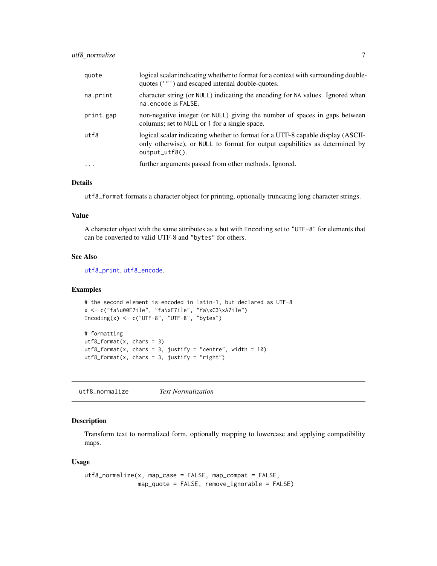<span id="page-6-0"></span>

| quote     | logical scalar indicating whether to format for a context with surrounding double-<br>quotes ('"') and escaped internal double-quotes.                                               |
|-----------|--------------------------------------------------------------------------------------------------------------------------------------------------------------------------------------|
| na.print  | character string (or NULL) indicating the encoding for NA values. Ignored when<br>na. encode is FALSE.                                                                               |
| print.gap | non-negative integer (or NULL) giving the number of spaces in gaps between<br>columns; set to NULL or 1 for a single space.                                                          |
| utf8      | logical scalar indicating whether to format for a UTF-8 capable display (ASCII-<br>only otherwise), or NULL to format for output capabilities as determined by<br>$output\_utf8()$ . |
| $\ddotsc$ | further arguments passed from other methods. Ignored.                                                                                                                                |

#### Details

utf8\_format formats a character object for printing, optionally truncating long character strings.

#### Value

A character object with the same attributes as x but with Encoding set to "UTF-8" for elements that can be converted to valid UTF-8 and "bytes" for others.

#### See Also

[utf8\\_print](#page-7-1), [utf8\\_encode](#page-4-1).

#### Examples

```
# the second element is encoded in latin-1, but declared as UTF-8
x <- c("fa\u00E7ile", "fa\xE7ile", "fa\xC3\xA7ile")
Encoding(x) <- c("UTF-8", "UTF-8", "bytes")
```

```
# formatting
utf8_format(x, chars = 3)utf8_format(x, chars = 3, justify = "centre", width = 10)
utf8_format(x, chars = 3, justify = "right")
```
<span id="page-6-1"></span>utf8\_normalize *Text Normalization*

### Description

Transform text to normalized form, optionally mapping to lowercase and applying compatibility maps.

#### Usage

```
utf8_normalize(x, map_case = FALSE, map_compat = FALSE,
              map_quote = FALSE, remove_ignorable = FALSE)
```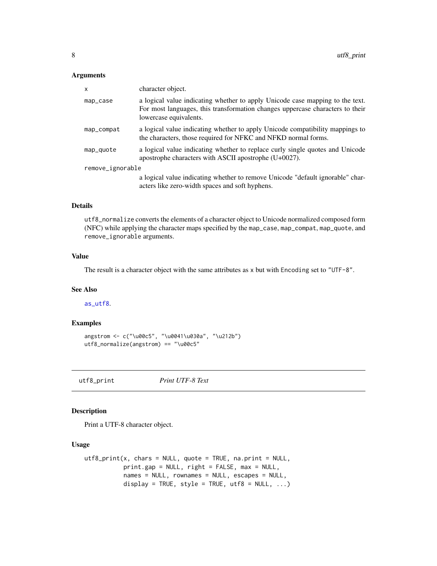#### <span id="page-7-0"></span>Arguments

| $\mathsf{x}$     | character object.                                                                                                                                                                        |
|------------------|------------------------------------------------------------------------------------------------------------------------------------------------------------------------------------------|
| map_case         | a logical value indicating whether to apply Unicode case mapping to the text.<br>For most languages, this transformation changes uppercase characters to their<br>lowercase equivalents. |
| map_compat       | a logical value indicating whether to apply Unicode compatibility mappings to<br>the characters, those required for NFKC and NFKD normal forms.                                          |
| map_quote        | a logical value indicating whether to replace curly single quotes and Unicode<br>apostrophe characters with ASCII apostrophe (U+0027).                                                   |
| remove_ignorable |                                                                                                                                                                                          |
|                  | a logical value indicating whether to remove Unicode "default ignorable" char-<br>acters like zero-width spaces and soft hyphens.                                                        |

#### Details

utf8\_normalize converts the elements of a character object to Unicode normalized composed form (NFC) while applying the character maps specified by the map\_case, map\_compat, map\_quote, and remove\_ignorable arguments.

#### Value

The result is a character object with the same attributes as x but with Encoding set to "UTF-8".

#### See Also

[as\\_utf8](#page-1-1).

### Examples

```
angstrom <- c("\u00c5", "\u0041\u030a", "\u212b")
utf8_normalize(angstrom) == "\u00c5"
```
<span id="page-7-1"></span>utf8\_print *Print UTF-8 Text*

#### Description

Print a UTF-8 character object.

#### Usage

```
utf8_print(x, chars = NULL, quote = TRUE, na.print = NULL,
          print.gap = NULL, right = FALSE, max = NULL,
          names = NULL, rownames = NULL, escapes = NULL,
          display = TRUE, style = TRUE, utf8 = NULL, ...
```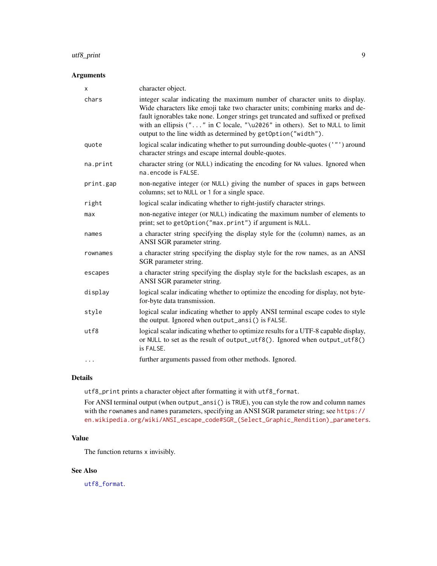#### <span id="page-8-0"></span>utf8\_print 99

# Arguments

| integer scalar indicating the maximum number of character units to display.<br>chars<br>Wide characters like emoji take two character units; combining marks and de-<br>fault ignorables take none. Longer strings get truncated and suffixed or prefixed |  |
|-----------------------------------------------------------------------------------------------------------------------------------------------------------------------------------------------------------------------------------------------------------|--|
| with an ellipsis ("" in C locale, "\u2026" in others). Set to NULL to limit<br>output to the line width as determined by getOption("width").                                                                                                              |  |
| logical scalar indicating whether to put surrounding double-quotes ('"') around<br>quote<br>character strings and escape internal double-quotes.                                                                                                          |  |
| character string (or NULL) indicating the encoding for NA values. Ignored when<br>na.print<br>na.encode is FALSE.                                                                                                                                         |  |
| non-negative integer (or NULL) giving the number of spaces in gaps between<br>print.gap<br>columns; set to NULL or 1 for a single space.                                                                                                                  |  |
| logical scalar indicating whether to right-justify character strings.<br>right                                                                                                                                                                            |  |
| non-negative integer (or NULL) indicating the maximum number of elements to<br>max<br>print; set to getOption("max.print") if argument is NULL.                                                                                                           |  |
| a character string specifying the display style for the (column) names, as an<br>names<br>ANSI SGR parameter string.                                                                                                                                      |  |
| a character string specifying the display style for the row names, as an ANSI<br>rownames<br>SGR parameter string.                                                                                                                                        |  |
| a character string specifying the display style for the backslash escapes, as an<br>escapes<br>ANSI SGR parameter string.                                                                                                                                 |  |
| logical scalar indicating whether to optimize the encoding for display, not byte-<br>display<br>for-byte data transmission.                                                                                                                               |  |
| logical scalar indicating whether to apply ANSI terminal escape codes to style<br>style<br>the output. Ignored when output_ansi() is FALSE.                                                                                                               |  |
| logical scalar indicating whether to optimize results for a UTF-8 capable display,<br>utf8<br>or NULL to set as the result of output_utf8(). Ignored when output_utf8()<br>is FALSE.                                                                      |  |
| further arguments passed from other methods. Ignored.<br>$\cdots$                                                                                                                                                                                         |  |

# Details

utf8\_print prints a character object after formatting it with utf8\_format.

For ANSI terminal output (when output\_ansi() is TRUE), you can style the row and column names with the rownames and names parameters, specifying an ANSI SGR parameter string; see [https://](https://en.wikipedia.org/wiki/ANSI_escape_code#SGR_(Select_Graphic_Rendition)_parameters) [en.wikipedia.org/wiki/ANSI\\_escape\\_code#SGR\\_\(Select\\_Graphic\\_Rendition\)\\_parameters](https://en.wikipedia.org/wiki/ANSI_escape_code#SGR_(Select_Graphic_Rendition)_parameters).

# Value

The function returns x invisibly.

#### See Also

[utf8\\_format](#page-5-1).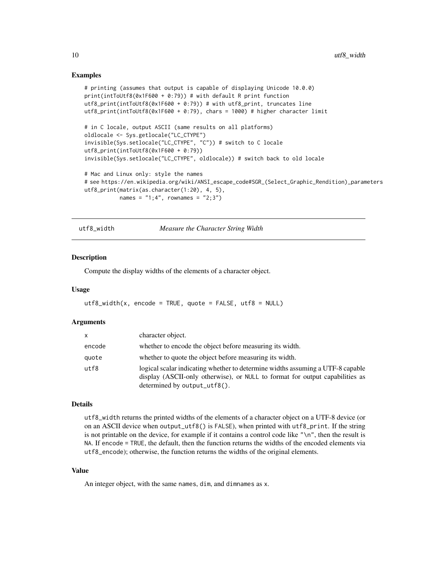#### Examples

```
# printing (assumes that output is capable of displaying Unicode 10.0.0)
print(intToUtf8(0x1F600 + 0:79)) # with default R print function
utf8_print(intToUtf8(0x1F600 + 0:79)) # with utf8_print, truncates line
utf8_print(intToUtf8(0x1F600 + 0:79), chars = 1000) # higher character limit
# in C locale, output ASCII (same results on all platforms)
oldlocale <- Sys.getlocale("LC_CTYPE")
invisible(Sys.setlocale("LC_CTYPE", "C")) # switch to C locale
utf8_print(intToUtf8(0x1F600 + 0:79))
invisible(Sys.setlocale("LC_CTYPE", oldlocale)) # switch back to old locale
# Mac and Linux only: style the names
# see https://en.wikipedia.org/wiki/ANSI_escape_code#SGR_(Select_Graphic_Rendition)_parameters
utf8_print(matrix(as.character(1:20), 4, 5),
           names = "1;4", rownames = "2;3")
```
<span id="page-9-1"></span>utf8\_width *Measure the Character String Width*

#### Description

Compute the display widths of the elements of a character object.

#### Usage

```
utf8_width(x, encode = TRUE, quote = FALSE, utf8 = NULL)
```
#### Arguments

| x      | character object.                                                                                                                                                                              |
|--------|------------------------------------------------------------------------------------------------------------------------------------------------------------------------------------------------|
| encode | whether to encode the object before measuring its width.                                                                                                                                       |
| quote  | whether to quote the object before measuring its width.                                                                                                                                        |
| utf8   | logical scalar indicating whether to determine widths assuming a UTF-8 capable<br>display (ASCII-only otherwise), or NULL to format for output capabilities as<br>determined by output_utf8(). |

#### Details

utf8\_width returns the printed widths of the elements of a character object on a UTF-8 device (or on an ASCII device when output\_utf8() is FALSE), when printed with  $utf8\_print$ . If the string is not printable on the device, for example if it contains a control code like "\n", then the result is NA. If encode = TRUE, the default, then the function returns the widths of the encoded elements via utf8\_encode); otherwise, the function returns the widths of the original elements.

#### Value

An integer object, with the same names, dim, and dimnames as x.

<span id="page-9-0"></span>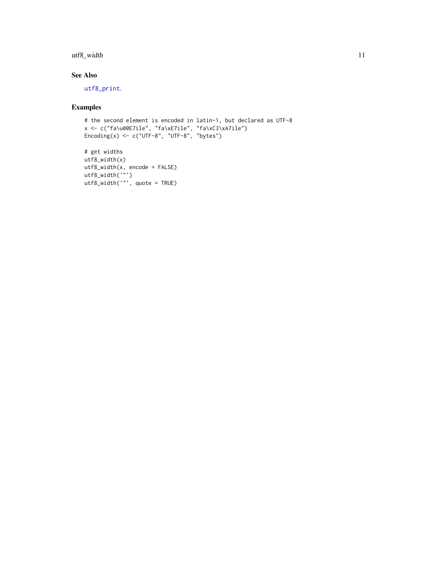# <span id="page-10-0"></span>utf8\_width 11

# See Also

[utf8\\_print](#page-7-1).

# Examples

```
# the second element is encoded in latin-1, but declared as UTF-8
x <- c("fa\u00E7ile", "fa\xE7ile", "fa\xC3\xA7ile")
Encoding(x) <- c("UTF-8", "UTF-8", "bytes")
```

```
# get widths
utf8_width(x)
utf8_width(x, encode = FALSE)
utf8_width('"')
utf8_width('"', quote = TRUE)
```